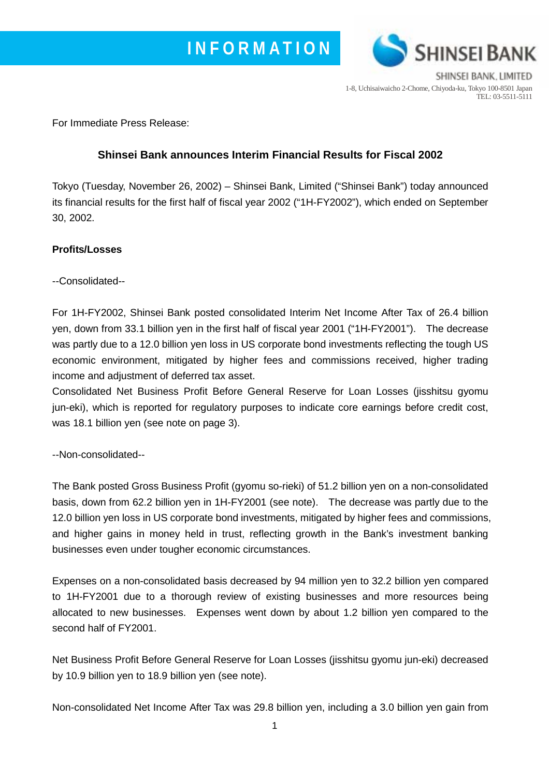

SHINSEI BANK, LIMITED 1-8, Uchisaiwaicho 2-Chome, Chiyoda-ku, Tokyo 100-8501 Japan TEL: 03-5511-5111

For Immediate Press Release:

# **Shinsei Bank announces Interim Financial Results for Fiscal 2002**

Tokyo (Tuesday, November 26, 2002) – Shinsei Bank, Limited ("Shinsei Bank") today announced its financial results for the first half of fiscal year 2002 ("1H-FY2002"), which ended on September 30, 2002.

### **Profits/Losses**

--Consolidated--

For 1H-FY2002, Shinsei Bank posted consolidated Interim Net Income After Tax of 26.4 billion yen, down from 33.1 billion yen in the first half of fiscal year 2001 ("1H-FY2001"). The decrease was partly due to a 12.0 billion yen loss in US corporate bond investments reflecting the tough US economic environment, mitigated by higher fees and commissions received, higher trading income and adjustment of deferred tax asset.

Consolidated Net Business Profit Before General Reserve for Loan Losses (jisshitsu gyomu jun-eki), which is reported for regulatory purposes to indicate core earnings before credit cost, was 18.1 billion yen (see note on page 3).

--Non-consolidated--

The Bank posted Gross Business Profit (gyomu so-rieki) of 51.2 billion yen on a non-consolidated basis, down from 62.2 billion yen in 1H-FY2001 (see note). The decrease was partly due to the 12.0 billion yen loss in US corporate bond investments, mitigated by higher fees and commissions, and higher gains in money held in trust, reflecting growth in the Bank's investment banking businesses even under tougher economic circumstances.

Expenses on a non-consolidated basis decreased by 94 million yen to 32.2 billion yen compared to 1H-FY2001 due to a thorough review of existing businesses and more resources being allocated to new businesses. Expenses went down by about 1.2 billion yen compared to the second half of FY2001.

Net Business Profit Before General Reserve for Loan Losses (jisshitsu gyomu jun-eki) decreased by 10.9 billion yen to 18.9 billion yen (see note).

Non-consolidated Net Income After Tax was 29.8 billion yen, including a 3.0 billion yen gain from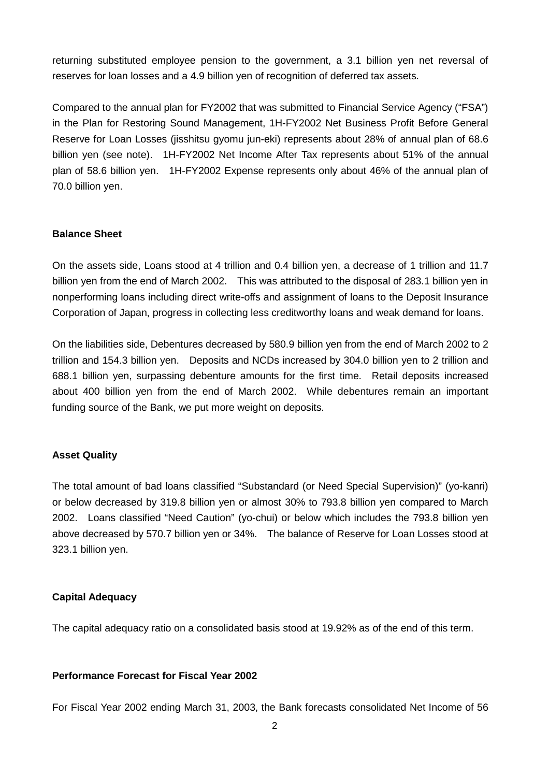returning substituted employee pension to the government, a 3.1 billion yen net reversal of reserves for loan losses and a 4.9 billion yen of recognition of deferred tax assets.

Compared to the annual plan for FY2002 that was submitted to Financial Service Agency ("FSA") in the Plan for Restoring Sound Management, 1H-FY2002 Net Business Profit Before General Reserve for Loan Losses (jisshitsu gyomu jun-eki) represents about 28% of annual plan of 68.6 billion yen (see note). 1H-FY2002 Net Income After Tax represents about 51% of the annual plan of 58.6 billion yen. 1H-FY2002 Expense represents only about 46% of the annual plan of 70.0 billion yen.

#### **Balance Sheet**

On the assets side, Loans stood at 4 trillion and 0.4 billion yen, a decrease of 1 trillion and 11.7 billion yen from the end of March 2002. This was attributed to the disposal of 283.1 billion yen in nonperforming loans including direct write-offs and assignment of loans to the Deposit Insurance Corporation of Japan, progress in collecting less creditworthy loans and weak demand for loans.

On the liabilities side, Debentures decreased by 580.9 billion yen from the end of March 2002 to 2 trillion and 154.3 billion yen. Deposits and NCDs increased by 304.0 billion yen to 2 trillion and 688.1 billion yen, surpassing debenture amounts for the first time. Retail deposits increased about 400 billion yen from the end of March 2002. While debentures remain an important funding source of the Bank, we put more weight on deposits.

#### **Asset Quality**

The total amount of bad loans classified "Substandard (or Need Special Supervision)" (yo-kanri) or below decreased by 319.8 billion yen or almost 30% to 793.8 billion yen compared to March 2002. Loans classified "Need Caution" (yo-chui) or below which includes the 793.8 billion yen above decreased by 570.7 billion yen or 34%. The balance of Reserve for Loan Losses stood at 323.1 billion yen.

#### **Capital Adequacy**

The capital adequacy ratio on a consolidated basis stood at 19.92% as of the end of this term.

### **Performance Forecast for Fiscal Year 2002**

For Fiscal Year 2002 ending March 31, 2003, the Bank forecasts consolidated Net Income of 56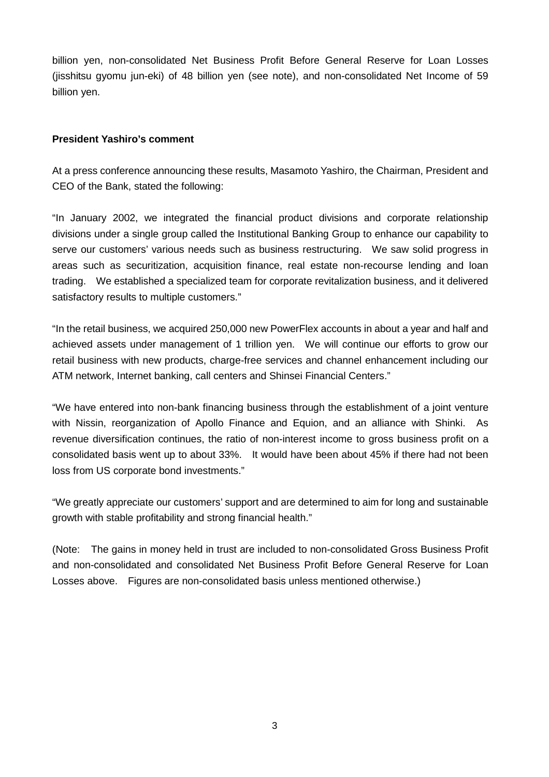billion yen, non-consolidated Net Business Profit Before General Reserve for Loan Losses (jisshitsu gyomu jun-eki) of 48 billion yen (see note), and non-consolidated Net Income of 59 billion yen.

#### **President Yashiro's comment**

At a press conference announcing these results, Masamoto Yashiro, the Chairman, President and CEO of the Bank, stated the following:

"In January 2002, we integrated the financial product divisions and corporate relationship divisions under a single group called the Institutional Banking Group to enhance our capability to serve our customers' various needs such as business restructuring. We saw solid progress in areas such as securitization, acquisition finance, real estate non-recourse lending and loan trading. We established a specialized team for corporate revitalization business, and it delivered satisfactory results to multiple customers."

"In the retail business, we acquired 250,000 new PowerFlex accounts in about a year and half and achieved assets under management of 1 trillion yen. We will continue our efforts to grow our retail business with new products, charge-free services and channel enhancement including our ATM network, Internet banking, call centers and Shinsei Financial Centers."

"We have entered into non-bank financing business through the establishment of a joint venture with Nissin, reorganization of Apollo Finance and Equion, and an alliance with Shinki. As revenue diversification continues, the ratio of non-interest income to gross business profit on a consolidated basis went up to about 33%. It would have been about 45% if there had not been loss from US corporate bond investments."

"We greatly appreciate our customers' support and are determined to aim for long and sustainable growth with stable profitability and strong financial health."

(Note: The gains in money held in trust are included to non-consolidated Gross Business Profit and non-consolidated and consolidated Net Business Profit Before General Reserve for Loan Losses above. Figures are non-consolidated basis unless mentioned otherwise.)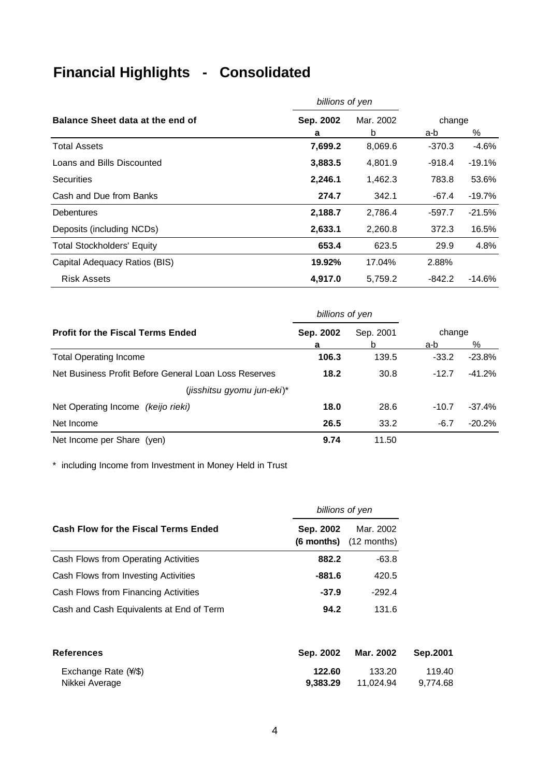# **Financial Highlights - Consolidated**

|                                   | billions of yen |           |          |           |
|-----------------------------------|-----------------|-----------|----------|-----------|
| Balance Sheet data at the end of  | Sep. 2002       | Mar. 2002 | change   |           |
|                                   | a               | b         | a-b      | %         |
| <b>Total Assets</b>               | 7,699.2         | 8,069.6   | $-370.3$ | $-4.6%$   |
| Loans and Bills Discounted        | 3,883.5         | 4,801.9   | -918.4   | $-19.1%$  |
| <b>Securities</b>                 | 2,246.1         | 1,462.3   | 783.8    | 53.6%     |
| Cash and Due from Banks           | 274.7           | 342.1     | -67.4    | $-19.7%$  |
| <b>Debentures</b>                 | 2,188.7         | 2,786.4   | $-597.7$ | $-21.5%$  |
| Deposits (including NCDs)         | 2,633.1         | 2,260.8   | 372.3    | 16.5%     |
| <b>Total Stockholders' Equity</b> | 653.4           | 623.5     | 29.9     | 4.8%      |
| Capital Adequacy Ratios (BIS)     | 19.92%          | 17.04%    | 2.88%    |           |
| Risk Assets                       | 4,917.0         | 5,759.2   | $-842.2$ | $-14.6\%$ |

|                                                       | billions of yen |           |               |          |
|-------------------------------------------------------|-----------------|-----------|---------------|----------|
| <b>Profit for the Fiscal Terms Ended</b>              | Sep. 2002<br>a  | Sep. 2001 | change<br>a-b | %        |
| <b>Total Operating Income</b>                         | 106.3           | 139.5     | $-33.2$       | $-23.8%$ |
| Net Business Profit Before General Loan Loss Reserves | 18.2            | 30.8      | $-12.7$       | $-41.2%$ |
| (jisshitsu gyomu jun-eki)*                            |                 |           |               |          |
| Net Operating Income (keijo rieki)                    | 18.0            | 28.6      | $-10.7$       | $-37.4%$ |
| Net Income                                            | 26.5            | 33.2      | $-6.7$        | $-20.2%$ |
| Net Income per Share (yen)                            | 9.74            | 11.50     |               |          |

\* including Income from Investment in Money Held in Trust

|                                             | billions of yen |                                         |
|---------------------------------------------|-----------------|-----------------------------------------|
| <b>Cash Flow for the Fiscal Terms Ended</b> | Sep. 2002       | Mar. 2002<br>$(6$ months) $(12$ months) |
| Cash Flows from Operating Activities        | 882.2           | $-63.8$                                 |
| Cash Flows from Investing Activities        | $-881.6$        | 420.5                                   |
| Cash Flows from Financing Activities        | $-37.9$         | $-292.4$                                |
| Cash and Cash Equivalents at End of Term    | 94.2            | 131.6                                   |

| <b>References</b>           | Sep. 2002 | Mar. 2002 | Sep.2001 |
|-----------------------------|-----------|-----------|----------|
| Exchange Rate $(\sqrt{\$})$ | 122.60    | 133.20    | 119.40   |
| Nikkei Average              | 9.383.29  | 11.024.94 | 9.774.68 |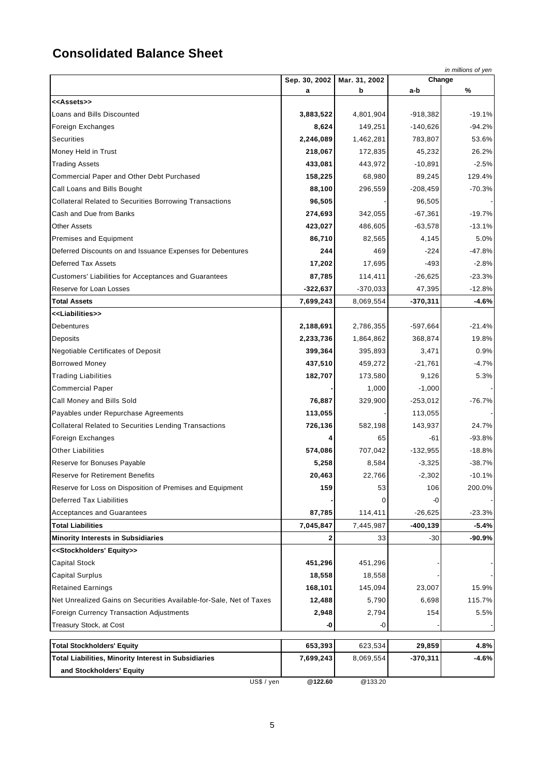# **Consolidated Balance Sheet**

|                                                                     | Sep. 30, 2002 | Mar. 31, 2002 | Change      | in millions of yen |
|---------------------------------------------------------------------|---------------|---------------|-------------|--------------------|
|                                                                     | а             | b             | a-b         | %                  |
| < <assets>&gt;</assets>                                             |               |               |             |                    |
| Loans and Bills Discounted                                          | 3,883,522     | 4,801,904     | $-918,382$  | $-19.1%$           |
| Foreign Exchanges                                                   | 8,624         | 149,251       | $-140,626$  | $-94.2%$           |
| Securities                                                          | 2,246,089     | 1,462,281     | 783,807     | 53.6%              |
| Money Held in Trust                                                 | 218,067       | 172,835       | 45,232      | 26.2%              |
| <b>Trading Assets</b>                                               | 433,081       | 443,972       | $-10,891$   | $-2.5%$            |
| Commercial Paper and Other Debt Purchased                           | 158,225       | 68,980        | 89,245      | 129.4%             |
| Call Loans and Bills Bought                                         | 88,100        | 296,559       | $-208,459$  | $-70.3%$           |
| <b>Collateral Related to Securities Borrowing Transactions</b>      | 96,505        |               | 96,505      |                    |
| Cash and Due from Banks                                             | 274,693       | 342,055       | $-67,361$   | $-19.7%$           |
| <b>Other Assets</b>                                                 | 423,027       | 486,605       | $-63,578$   | $-13.1%$           |
| Premises and Equipment                                              | 86,710        | 82,565        | 4,145       | 5.0%               |
| Deferred Discounts on and Issuance Expenses for Debentures          | 244           | 469           | $-224$      | $-47.8%$           |
| <b>Deferred Tax Assets</b>                                          | 17,202        | 17,695        | -493        | $-2.8%$            |
| Customers' Liabilities for Acceptances and Guarantees               | 87,785        | 114,411       | $-26,625$   | $-23.3%$           |
| Reserve for Loan Losses                                             | $-322,637$    | $-370,033$    | 47,395      | $-12.8%$           |
| <b>Total Assets</b>                                                 | 7,699,243     | 8,069,554     | -370,311    | $-4.6%$            |
| < <liabilities>&gt;</liabilities>                                   |               |               |             |                    |
| <b>Debentures</b>                                                   | 2,188,691     | 2,786,355     | $-597,664$  | $-21.4%$           |
| Deposits                                                            | 2,233,736     | 1,864,862     | 368,874     | 19.8%              |
| <b>Negotiable Certificates of Deposit</b>                           | 399,364       | 395,893       | 3,471       | 0.9%               |
| <b>Borrowed Money</b>                                               | 437,510       | 459,272       | $-21,761$   | $-4.7%$            |
| <b>Trading Liabilities</b>                                          | 182,707       | 173,580       | 9,126       | 5.3%               |
| <b>Commercial Paper</b>                                             |               | 1,000         | $-1,000$    |                    |
| Call Money and Bills Sold                                           | 76,887        | 329,900       | $-253,012$  | $-76.7%$           |
| Payables under Repurchase Agreements                                | 113,055       |               | 113,055     |                    |
| <b>Collateral Related to Securities Lending Transactions</b>        | 726,136       | 582,198       | 143,937     | 24.7%              |
| Foreign Exchanges                                                   | 4             | 65            | -61         | $-93.8%$           |
| <b>Other Liabilities</b>                                            | 574,086       | 707,042       | $-132,955$  | $-18.8%$           |
| Reserve for Bonuses Payable                                         | 5,258         | 8,584         | $-3,325$    | $-38.7%$           |
| <b>Reserve for Retirement Benefits</b>                              | 20,463        | 22,766        | $-2,302$    | $-10.1%$           |
| Reserve for Loss on Disposition of Premises and Equipment           | 159           | 53            | 106         | 200.0%             |
| <b>Deferred Tax Liabilities</b>                                     |               |               | -0          |                    |
| <b>Acceptances and Guarantees</b>                                   | 87,785        | 114,411       | $-26,625$   | $-23.3%$           |
| <b>Total Liabilities</b>                                            | 7,045,847     | 7,445,987     | $-400, 139$ | $-5.4%$            |
| <b>Minority Interests in Subsidiaries</b>                           | 2             | 33            | -30         | -90.9%             |
| < <stockholders' equity="">&gt;</stockholders'>                     |               |               |             |                    |
| Capital Stock                                                       | 451,296       | 451,296       |             |                    |
| <b>Capital Surplus</b>                                              | 18,558        | 18,558        |             |                    |
| <b>Retained Earnings</b>                                            | 168,101       | 145,094       | 23,007      | 15.9%              |
| Net Unrealized Gains on Securities Available-for-Sale, Net of Taxes | 12,488        | 5,790         | 6,698       | 115.7%             |
| Foreign Currency Transaction Adjustments                            | 2,948         | 2,794         | 154         | 5.5%               |
| Treasury Stock, at Cost                                             | -0            | -0            |             |                    |
| <b>Total Stockholders' Equity</b>                                   | 653,393       | 623,534       | 29,859      | 4.8%               |
| Total Liabilities, Minority Interest in Subsidiaries                | 7,699,243     | 8,069,554     | $-370,311$  | $-4.6%$            |
| and Stockholders' Equity                                            |               |               |             |                    |
| US\$ / yen                                                          | @122.60       | @133.20       |             |                    |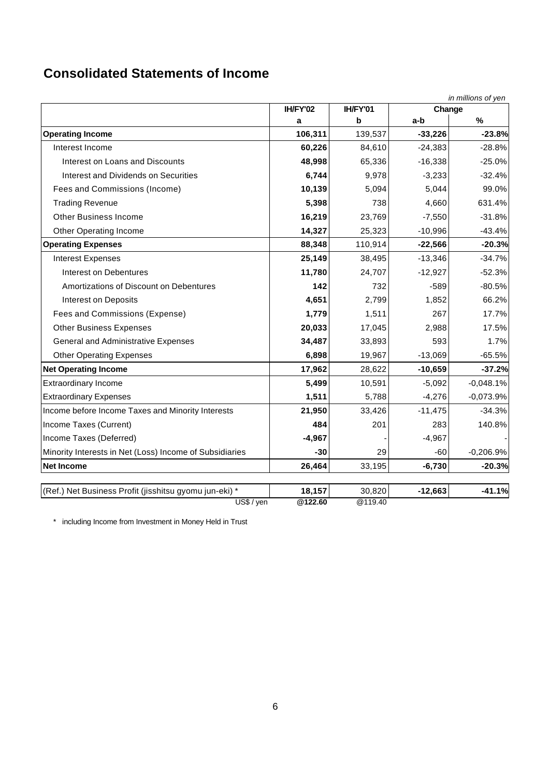# **Consolidated Statements of Income**

|                                                                      |                   |                   |           | in millions of yen |
|----------------------------------------------------------------------|-------------------|-------------------|-----------|--------------------|
|                                                                      | IH/FY'02          | IH/FY'01          | Change    |                    |
|                                                                      | a                 | b                 | a-b       | %                  |
| <b>Operating Income</b>                                              | 106,311           | 139,537           | $-33,226$ | $-23.8%$           |
| Interest Income                                                      | 60,226            | 84,610            | $-24,383$ | $-28.8%$           |
| Interest on Loans and Discounts                                      | 48,998            | 65,336            | $-16,338$ | $-25.0%$           |
| Interest and Dividends on Securities                                 | 6,744             | 9,978             | $-3,233$  | $-32.4%$           |
| Fees and Commissions (Income)                                        | 10,139            | 5,094             | 5,044     | 99.0%              |
| <b>Trading Revenue</b>                                               | 5,398             | 738               | 4,660     | 631.4%             |
| <b>Other Business Income</b>                                         | 16,219            | 23,769            | $-7,550$  | $-31.8%$           |
| <b>Other Operating Income</b>                                        | 14,327            | 25,323            | $-10,996$ | $-43.4%$           |
| <b>Operating Expenses</b>                                            | 88,348            | 110,914           | $-22,566$ | $-20.3%$           |
| <b>Interest Expenses</b>                                             | 25,149            | 38,495            | $-13,346$ | $-34.7%$           |
| Interest on Debentures                                               | 11,780            | 24,707            | $-12,927$ | $-52.3%$           |
| Amortizations of Discount on Debentures                              | 142               | 732               | $-589$    | $-80.5%$           |
| <b>Interest on Deposits</b>                                          | 4,651             | 2,799             | 1,852     | 66.2%              |
| Fees and Commissions (Expense)                                       | 1,779             | 1,511             | 267       | 17.7%              |
| <b>Other Business Expenses</b>                                       | 20,033            | 17,045            | 2,988     | 17.5%              |
| <b>General and Administrative Expenses</b>                           | 34,487            | 33,893            | 593       | 1.7%               |
| <b>Other Operating Expenses</b>                                      | 6,898             | 19,967            | $-13,069$ | $-65.5%$           |
| <b>Net Operating Income</b>                                          | 17,962            | 28,622            | $-10,659$ | $-37.2%$           |
| <b>Extraordinary Income</b>                                          | 5,499             | 10,591            | $-5,092$  | $-0,048.1%$        |
| <b>Extraordinary Expenses</b>                                        | 1,511             | 5,788             | $-4,276$  | $-0,073.9%$        |
| Income before Income Taxes and Minority Interests                    | 21,950            | 33,426            | $-11,475$ | $-34.3%$           |
| Income Taxes (Current)                                               | 484               | 201               | 283       | 140.8%             |
| Income Taxes (Deferred)                                              | $-4,967$          |                   | $-4,967$  |                    |
| Minority Interests in Net (Loss) Income of Subsidiaries              | $-30$             | 29                | $-60$     | $-0,206.9%$        |
| <b>Net Income</b>                                                    | 26,464            | 33,195            | $-6,730$  | $-20.3%$           |
|                                                                      |                   |                   |           |                    |
| (Ref.) Net Business Profit (jisshitsu gyomu jun-eki) *<br>US\$ / yen | 18,157<br>@122.60 | 30,820<br>@119.40 | $-12,663$ | $-41.1%$           |

\* including Income from Investment in Money Held in Trust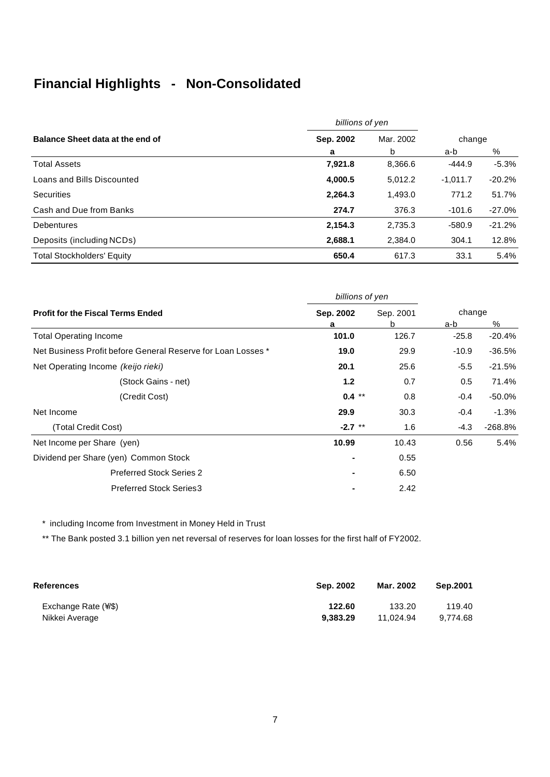# **Financial Highlights - Non-Consolidated**

|                                   | billions of yen |           |            |          |
|-----------------------------------|-----------------|-----------|------------|----------|
| Balance Sheet data at the end of  | Sep. 2002       | Mar. 2002 | change     |          |
|                                   | a               | b         | a-b        | %        |
| <b>Total Assets</b>               | 7,921.8         | 8,366.6   | $-444.9$   | $-5.3%$  |
| Loans and Bills Discounted        | 4,000.5         | 5,012.2   | $-1.011.7$ | $-20.2%$ |
| <b>Securities</b>                 | 2.264.3         | 1,493.0   | 771.2      | 51.7%    |
| Cash and Due from Banks           | 274.7           | 376.3     | $-101.6$   | $-27.0%$ |
| <b>Debentures</b>                 | 2,154.3         | 2.735.3   | $-580.9$   | $-21.2%$ |
| Deposits (including NCDs)         | 2,688.1         | 2,384.0   | 304.1      | 12.8%    |
| <b>Total Stockholders' Equity</b> | 650.4           | 617.3     | 33.1       | 5.4%     |

| Sep. 2002 | Sep. 2001 | change          |            |
|-----------|-----------|-----------------|------------|
| a         | b         | a-b             | %          |
| 101.0     | 126.7     | $-25.8$         | $-20.4%$   |
| 19.0      | 29.9      | $-10.9$         | $-36.5%$   |
| 20.1      | 25.6      | $-5.5$          | $-21.5%$   |
| 1.2       | 0.7       | 0.5             | 71.4%      |
| $0.4***$  | 0.8       | $-0.4$          | -50.0%     |
| 29.9      | 30.3      | $-0.4$          | $-1.3%$    |
| $-2.7$ ** | 1.6       | -4.3            | $-268.8\%$ |
| 10.99     | 10.43     | 0.56            | 5.4%       |
|           | 0.55      |                 |            |
|           | 6.50      |                 |            |
|           | 2.42      |                 |            |
|           |           | billions of yen |            |

\* including Income from Investment in Money Held in Trust

\*\* The Bank posted 3.1 billion yen net reversal of reserves for loan losses for the first half of FY2002.

| References                 | Sep. 2002 | Mar. 2002 | Sep.2001 |
|----------------------------|-----------|-----------|----------|
| Exchange Rate $(\sqrt{s})$ | 122.60    | 133.20    | 119.40   |
| Nikkei Average             | 9.383.29  | 11.024.94 | 9.774.68 |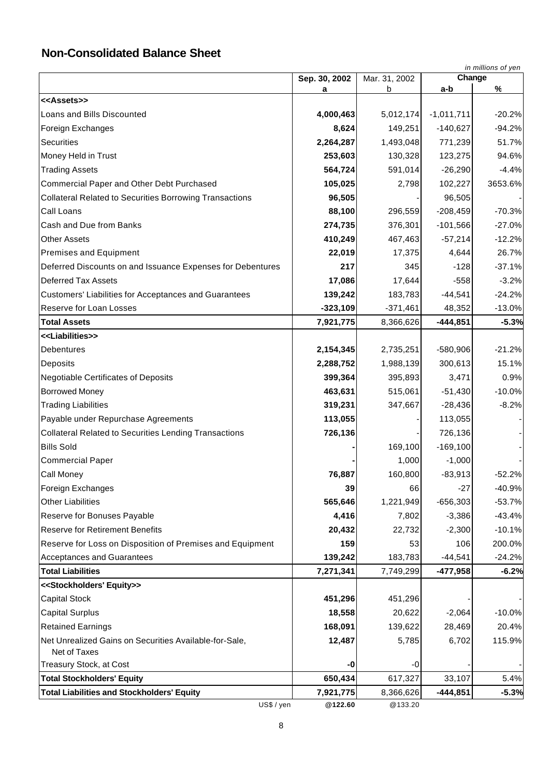# **Non-Consolidated Balance Sheet**

|                                                                 | in millions of yen   |                      |               |          |
|-----------------------------------------------------------------|----------------------|----------------------|---------------|----------|
|                                                                 | Sep. 30, 2002        | Mar. 31, 2002        | Change<br>a-b | %        |
| < <assets>&gt;</assets>                                         | а                    | b                    |               |          |
| Loans and Bills Discounted                                      | 4,000,463            | 5,012,174            | $-1,011,711$  | $-20.2%$ |
| Foreign Exchanges                                               | 8,624                | 149,251              | $-140,627$    | $-94.2%$ |
| Securities                                                      | 2,264,287            | 1,493,048            | 771,239       | 51.7%    |
| Money Held in Trust                                             | 253,603              | 130,328              | 123,275       | 94.6%    |
| <b>Trading Assets</b>                                           | 564,724              | 591,014              | $-26,290$     | $-4.4%$  |
| Commercial Paper and Other Debt Purchased                       | 105,025              | 2,798                | 102,227       | 3653.6%  |
| <b>Collateral Related to Securities Borrowing Transactions</b>  | 96,505               |                      | 96,505        |          |
| Call Loans                                                      | 88,100               | 296,559              | $-208,459$    | $-70.3%$ |
| Cash and Due from Banks                                         | 274,735              | 376,301              | $-101,566$    | $-27.0%$ |
| <b>Other Assets</b>                                             | 410,249              | 467,463              | $-57,214$     | $-12.2%$ |
| <b>Premises and Equipment</b>                                   | 22,019               | 17,375               | 4,644         | 26.7%    |
| Deferred Discounts on and Issuance Expenses for Debentures      | 217                  | 345                  | $-128$        | $-37.1%$ |
| <b>Deferred Tax Assets</b>                                      | 17,086               | 17,644               | $-558$        | $-3.2%$  |
| <b>Customers' Liabilities for Acceptances and Guarantees</b>    | 139,242              | 183,783              | $-44,541$     | $-24.2%$ |
| Reserve for Loan Losses                                         | $-323,109$           | $-371,461$           | 48,352        | $-13.0%$ |
| <b>Total Assets</b>                                             | 7,921,775            | 8,366,626            | $-444,851$    | $-5.3%$  |
| < <liabilities>&gt;</liabilities>                               |                      |                      |               |          |
| Debentures                                                      | 2,154,345            | 2,735,251            | $-580,906$    | $-21.2%$ |
| Deposits                                                        | 2,288,752            | 1,988,139            | 300,613       | 15.1%    |
| <b>Negotiable Certificates of Deposits</b>                      | 399,364              | 395,893              | 3,471         | 0.9%     |
| <b>Borrowed Money</b>                                           | 463,631              | 515,061              | $-51,430$     | $-10.0%$ |
| <b>Trading Liabilities</b>                                      | 319,231              | 347,667              | $-28,436$     | $-8.2%$  |
| Payable under Repurchase Agreements                             | 113,055              |                      | 113,055       |          |
| <b>Collateral Related to Securities Lending Transactions</b>    | 726,136              |                      | 726,136       |          |
| <b>Bills Sold</b>                                               |                      | 169,100              | $-169,100$    |          |
| <b>Commercial Paper</b>                                         |                      | 1,000                | $-1,000$      |          |
| Call Money                                                      | 76,887               | 160,800              | $-83,913$     | $-52.2%$ |
| Foreign Exchanges                                               | 39                   | 66                   | $-27$         | $-40.9%$ |
| <b>Other Liabilities</b>                                        | 565,646              | 1,221,949            | $-656,303$    | $-53.7%$ |
| Reserve for Bonuses Payable                                     | 4,416                | 7,802                | $-3,386$      | $-43.4%$ |
| <b>Reserve for Retirement Benefits</b>                          | 20,432               | 22,732               | $-2,300$      | $-10.1%$ |
| Reserve for Loss on Disposition of Premises and Equipment       | 159                  | 53                   | 106           | 200.0%   |
| <b>Acceptances and Guarantees</b>                               | 139,242              | 183,783              | $-44,541$     | $-24.2%$ |
| <b>Total Liabilities</b>                                        | 7,271,341            | 7,749,299            | $-477,958$    | $-6.2%$  |
| < <stockholders' equity="">&gt;</stockholders'>                 |                      |                      |               |          |
| <b>Capital Stock</b>                                            | 451,296              | 451,296              |               |          |
| <b>Capital Surplus</b>                                          | 18,558               | 20,622               | $-2,064$      | $-10.0%$ |
| <b>Retained Earnings</b>                                        | 168,091              | 139,622              | 28,469        | 20.4%    |
| Net Unrealized Gains on Securities Available-for-Sale,          | 12,487               | 5,785                | 6,702         | 115.9%   |
| Net of Taxes                                                    |                      |                      |               |          |
| Treasury Stock, at Cost                                         | -0                   | -0                   |               |          |
| <b>Total Stockholders' Equity</b>                               | 650,434              | 617,327              | 33,107        | 5.4%     |
| <b>Total Liabilities and Stockholders' Equity</b><br>US\$ / yen | 7,921,775<br>@122.60 | 8,366,626<br>@133.20 | $-444,851$    | $-5.3%$  |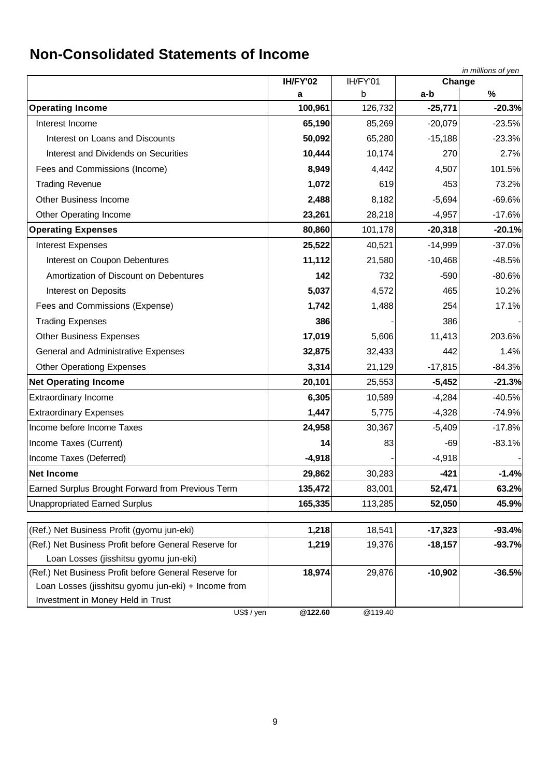# **Non-Consolidated Statements of Income**

|                                                       |              |          |           | in millions of yen |
|-------------------------------------------------------|--------------|----------|-----------|--------------------|
|                                                       | IH/FY'02     | IH/FY'01 | Change    |                    |
|                                                       | а<br>100,961 | b        | a-b       | $\%$               |
| <b>Operating Income</b>                               |              | 126,732  | $-25,771$ | $-20.3%$           |
| Interest Income                                       | 65,190       | 85,269   | $-20,079$ | $-23.5%$           |
| Interest on Loans and Discounts                       | 50,092       | 65,280   | $-15,188$ | $-23.3%$           |
| Interest and Dividends on Securities                  | 10,444       | 10,174   | 270       | 2.7%               |
| Fees and Commissions (Income)                         | 8,949        | 4,442    | 4,507     | 101.5%             |
| <b>Trading Revenue</b>                                | 1,072        | 619      | 453       | 73.2%              |
| <b>Other Business Income</b>                          | 2,488        | 8,182    | $-5,694$  | $-69.6%$           |
| Other Operating Income                                | 23,261       | 28,218   | $-4,957$  | $-17.6%$           |
| <b>Operating Expenses</b>                             | 80,860       | 101,178  | $-20,318$ | $-20.1%$           |
| Interest Expenses                                     | 25,522       | 40,521   | $-14,999$ | $-37.0%$           |
| Interest on Coupon Debentures                         | 11,112       | 21,580   | $-10,468$ | $-48.5%$           |
| Amortization of Discount on Debentures                | 142          | 732      | $-590$    | $-80.6%$           |
| Interest on Deposits                                  | 5,037        | 4,572    | 465       | 10.2%              |
| Fees and Commissions (Expense)                        | 1,742        | 1,488    | 254       | 17.1%              |
| <b>Trading Expenses</b>                               | 386          |          | 386       |                    |
| <b>Other Business Expenses</b>                        | 17,019       | 5,606    | 11,413    | 203.6%             |
| General and Administrative Expenses                   | 32,875       | 32,433   | 442       | 1.4%               |
| <b>Other Operationg Expenses</b>                      | 3,314        | 21,129   | $-17,815$ | $-84.3%$           |
| <b>Net Operating Income</b>                           | 20,101       | 25,553   | $-5,452$  | $-21.3%$           |
| <b>Extraordinary Income</b>                           | 6,305        | 10,589   | $-4,284$  | $-40.5%$           |
| <b>Extraordinary Expenses</b>                         | 1,447        | 5,775    | $-4,328$  | $-74.9%$           |
| Income before Income Taxes                            | 24,958       | 30,367   | $-5,409$  | $-17.8%$           |
| Income Taxes (Current)                                | 14           | 83       | $-69$     | $-83.1%$           |
| Income Taxes (Deferred)                               | $-4,918$     |          | $-4,918$  |                    |
| <b>Net Income</b>                                     | 29,862       | 30,283   | $-421$    | $-1.4%$            |
| Earned Surplus Brought Forward from Previous Term     | 135,472      | 83,001   | 52,471    | 63.2%              |
| <b>Unappropriated Earned Surplus</b>                  | 165,335      | 113,285  | 52,050    | 45.9%              |
|                                                       |              |          |           |                    |
| (Ref.) Net Business Profit (gyomu jun-eki)            | 1,218        | 18,541   | $-17,323$ | $-93.4%$           |
| (Ref.) Net Business Profit before General Reserve for | 1,219        | 19,376   | $-18,157$ | $-93.7%$           |
| Loan Losses (jisshitsu gyomu jun-eki)                 |              |          |           |                    |
| (Ref.) Net Business Profit before General Reserve for | 18,974       | 29,876   | $-10,902$ | $-36.5%$           |
| Loan Losses (jisshitsu gyomu jun-eki) + Income from   |              |          |           |                    |
| Investment in Money Held in Trust                     |              |          |           |                    |
| US\$ / yen                                            | @122.60      | @119.40  |           |                    |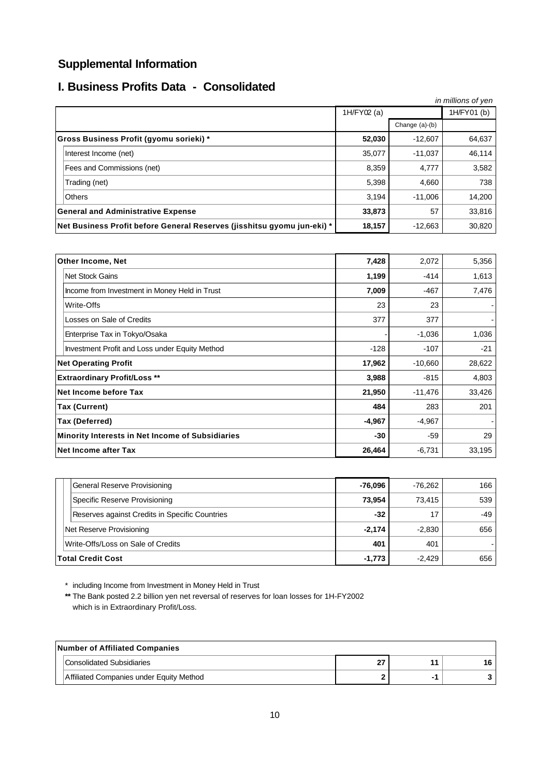# **Supplemental Information**

# **I. Business Profits Data - Consolidated**

|                                                                         |             |                  | in millions of yen |
|-------------------------------------------------------------------------|-------------|------------------|--------------------|
|                                                                         | 1H/FY02 (a) |                  | 1H/FY01 (b)        |
|                                                                         |             | Change $(a)-(b)$ |                    |
| Gross Business Profit (gyomu sorieki) *                                 | 52,030      | $-12,607$        | 64,637             |
| Interest Income (net)                                                   | 35,077      | $-11,037$        | 46,114             |
| Fees and Commissions (net)                                              | 8,359       | 4.777            | 3,582              |
| Trading (net)                                                           | 5,398       | 4,660            | 738                |
| <b>Others</b>                                                           | 3,194       | $-11.006$        | 14,200             |
| <b>General and Administrative Expense</b>                               | 33,873      | 57               | 33,816             |
| Net Business Profit before General Reserves (jisshitsu gyomu jun-eki) * | 18,157      | $-12,663$        | 30,820             |

| Other Income, Net                                | 7,428    | 2,072     | 5,356  |
|--------------------------------------------------|----------|-----------|--------|
| <b>Net Stock Gains</b>                           | 1,199    | $-414$    | 1,613  |
| Income from Investment in Money Held in Trust    | 7,009    | $-467$    | 7,476  |
| Write-Offs                                       | 23       | 23        |        |
| Losses on Sale of Credits                        | 377      | 377       |        |
| Enterprise Tax in Tokyo/Osaka                    |          | $-1,036$  | 1,036  |
| Investment Profit and Loss under Equity Method   | $-128$   | $-107$    | $-21$  |
| <b>Net Operating Profit</b>                      | 17,962   | $-10,660$ | 28,622 |
| <b>Extraordinary Profit/Loss **</b>              | 3,988    | $-815$    | 4,803  |
| Net Income before Tax                            | 21,950   | $-11,476$ | 33,426 |
| <b>Tax (Current)</b>                             | 484      | 283       | 201    |
| Tax (Deferred)                                   | $-4,967$ | $-4,967$  |        |
| Minority Interests in Net Income of Subsidiaries | $-30$    | $-59$     | 29     |
| Net Income after Tax                             | 26,464   | $-6,731$  | 33,195 |

| General Reserve Provisioning                   | -76.096  | $-76.262$ | 166 |
|------------------------------------------------|----------|-----------|-----|
| Specific Reserve Provisioning                  | 73.954   | 73.415    | 539 |
| Reserves against Credits in Specific Countries | $-32$    | 17        | -49 |
| Net Reserve Provisioning                       | $-2.174$ | $-2.830$  | 656 |
| Write-Offs/Loss on Sale of Credits             | 401      | 401       |     |
| <b>Total Credit Cost</b>                       | $-1,773$ | $-2.429$  | 656 |

\* including Income from Investment in Money Held in Trust

**\*\*** The Bank posted 2.2 billion yen net reversal of reserves for loan losses for 1H-FY2002 which is in Extraordinary Profit/Loss.

| Number of Affiliated Companies           |  |  |  |  |
|------------------------------------------|--|--|--|--|
| Consolidated Subsidiaries                |  |  |  |  |
| Affiliated Companies under Equity Method |  |  |  |  |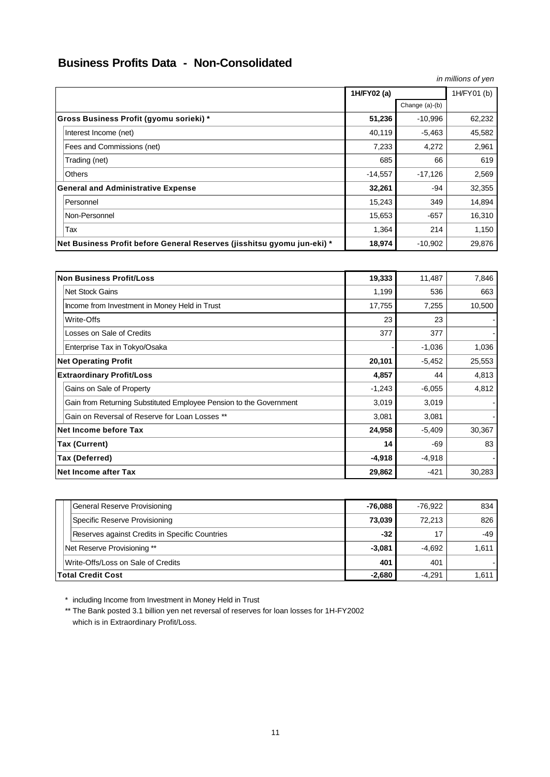# **Business Profits Data - Non-Consolidated**

| in millions of yen                                                      |             |                |             |  |
|-------------------------------------------------------------------------|-------------|----------------|-------------|--|
|                                                                         | 1H/FY02 (a) |                | 1H/FY01 (b) |  |
|                                                                         |             | Change (a)-(b) |             |  |
| Gross Business Profit (gyomu sorieki) *                                 | 51,236      | $-10,996$      | 62,232      |  |
| Interest Income (net)                                                   | 40,119      | $-5,463$       | 45,582      |  |
| Fees and Commissions (net)                                              | 7,233       | 4,272          | 2,961       |  |
| Trading (net)                                                           | 685         | 66             | 619         |  |
| <b>Others</b>                                                           | $-14,557$   | $-17,126$      | 2,569       |  |
| <b>General and Administrative Expense</b>                               | 32,261      | -94            | 32,355      |  |
| Personnel                                                               | 15,243      | 349            | 14,894      |  |
| Non-Personnel                                                           | 15,653      | $-657$         | 16,310      |  |
| Tax                                                                     | 1,364       | 214            | 1,150       |  |
| Net Business Profit before General Reserves (jisshitsu gyomu jun-eki) * | 18,974      | $-10,902$      | 29,876      |  |

| Non Business Profit/Loss                                           | 19,333   | 11,487   | 7,846  |
|--------------------------------------------------------------------|----------|----------|--------|
| Net Stock Gains                                                    | 1,199    | 536      | 663    |
| Income from Investment in Money Held in Trust                      | 17,755   | 7,255    | 10,500 |
| Write-Offs                                                         | 23       | 23       |        |
| Losses on Sale of Credits                                          | 377      | 377      |        |
| Enterprise Tax in Tokyo/Osaka                                      |          | $-1,036$ | 1,036  |
| <b>Net Operating Profit</b>                                        | 20,101   | $-5,452$ | 25,553 |
| <b>Extraordinary Profit/Loss</b>                                   | 4,857    | 44       | 4,813  |
| Gains on Sale of Property                                          | $-1,243$ | $-6,055$ | 4,812  |
| Gain from Returning Substituted Employee Pension to the Government | 3,019    | 3,019    |        |
| Gain on Reversal of Reserve for Loan Losses **                     | 3,081    | 3,081    |        |
| Net Income before Tax                                              | 24,958   | $-5,409$ | 30,367 |
| Tax (Current)                                                      | 14       | -69      | 83     |
| Tax (Deferred)                                                     | $-4,918$ | $-4,918$ |        |
| Net Income after Tax                                               | 29,862   | $-421$   | 30,283 |

| General Reserve Provisioning                   | $-76.088$ | $-76.922$ | 834   |
|------------------------------------------------|-----------|-----------|-------|
| Specific Reserve Provisioning                  | 73.039    | 72.213    | 826   |
| Reserves against Credits in Specific Countries | $-32$     | 17        | -49   |
| Net Reserve Provisioning **                    | $-3.081$  | -4.692    | 1,611 |
| Write-Offs/Loss on Sale of Credits             | 401       | 401       |       |
| <b>Total Credit Cost</b>                       | $-2,680$  | $-4.291$  | 1,611 |

\* including Income from Investment in Money Held in Trust

\*\* The Bank posted 3.1 billion yen net reversal of reserves for loan losses for 1H-FY2002 which is in Extraordinary Profit/Loss.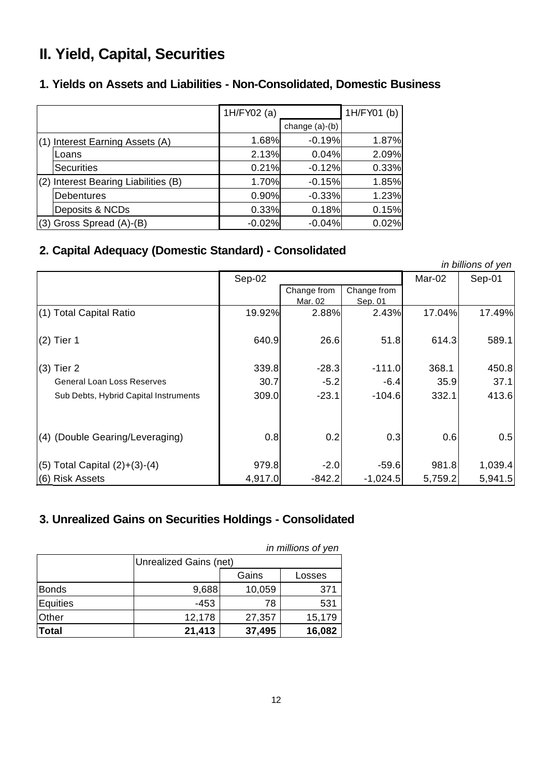# **II. Yield, Capital, Securities**

# **1. Yields on Assets and Liabilities - Non-Consolidated, Domestic Business**

|                                      | 1H/FY02 (a) |                | 1H/FY01 (b) |
|--------------------------------------|-------------|----------------|-------------|
|                                      |             | change (a)-(b) |             |
| (1) Interest Earning Assets (A)      | 1.68%       | $-0.19%$       | 1.87%       |
| Loans                                | 2.13%       | 0.04%          | 2.09%       |
| <b>Securities</b>                    | 0.21%       | $-0.12%$       | 0.33%       |
| (2) Interest Bearing Liabilities (B) | 1.70%       | $-0.15%$       | 1.85%       |
| <b>Debentures</b>                    | 0.90%       | $-0.33%$       | 1.23%       |
| Deposits & NCDs                      | 0.33%       | 0.18%          | 0.15%       |
| (3) Gross Spread (A)-(B)             | $-0.02%$    | $-0.04%$       | 0.02%       |

# **2. Capital Adequacy (Domestic Standard) - Consolidated**

| in billions of yen                    |         |             |             |         |         |  |
|---------------------------------------|---------|-------------|-------------|---------|---------|--|
|                                       | Sep-02  |             |             | Mar-02  | Sep-01  |  |
|                                       |         | Change from | Change from |         |         |  |
|                                       |         | Mar. 02     | Sep. 01     |         |         |  |
| (1) Total Capital Ratio               | 19.92%  | 2.88%       | 2.43%       | 17.04%  | 17.49%  |  |
| $(2)$ Tier 1                          | 640.9   | 26.6        | 51.8        | 614.3   | 589.1   |  |
| $(3)$ Tier 2                          | 339.8   | $-28.3$     | $-111.0$    | 368.1   | 450.8   |  |
| <b>General Loan Loss Reserves</b>     | 30.7    | $-5.2$      | $-6.4$      | 35.9    | 37.1    |  |
| Sub Debts, Hybrid Capital Instruments | 309.0   | $-23.1$     | $-104.6$    | 332.1   | 413.6   |  |
|                                       |         |             |             |         |         |  |
| (4) (Double Gearing/Leveraging)       | 0.8     | 0.2         | 0.3         | 0.6     | 0.5     |  |
| $(5)$ Total Capital $(2)+(3)-(4)$     | 979.8   | $-2.0$      | $-59.6$     | 981.8   | 1,039.4 |  |
| (6) Risk Assets                       | 4,917.0 | $-842.2$    | $-1,024.5$  | 5,759.2 | 5,941.5 |  |

# **3. Unrealized Gains on Securities Holdings - Consolidated**

| in millions of yen |                 |                        |        |  |  |  |
|--------------------|-----------------|------------------------|--------|--|--|--|
|                    |                 | Unrealized Gains (net) |        |  |  |  |
|                    | Gains<br>Losses |                        |        |  |  |  |
| <b>Bonds</b>       | 9,688           | 10,059                 | 371    |  |  |  |
| Equities           | $-453$          | 78                     | 531    |  |  |  |
| Other              | 12,178          | 27,357                 | 15,179 |  |  |  |
| <b>Total</b>       | 21,413          | 37,495                 | 16,082 |  |  |  |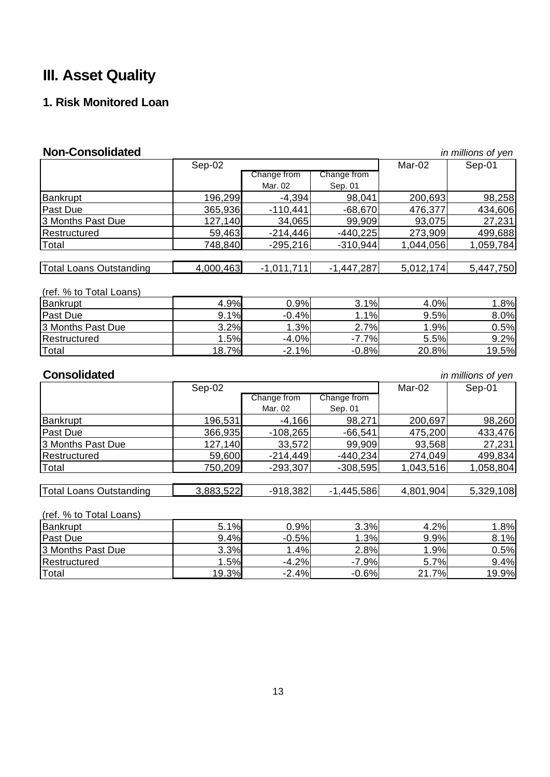# **III. Asset Quality**

# **1. Risk Monitored Loan**

| <b>Non-Consolidated</b>        |           |              |              |           | in millions of yen |
|--------------------------------|-----------|--------------|--------------|-----------|--------------------|
|                                | $Sep-02$  |              |              | Mar-02    | $Sep-01$           |
|                                |           | Change from  | Change from  |           |                    |
|                                |           | Mar. 02      | Sep. 01      |           |                    |
| <b>Bankrupt</b>                | 196,299   | $-4,394$     | 98,041       | 200,693   | 98,258             |
| Past Due                       | 365,936   | $-110,441$   | $-68,670$    | 476,377   | 434,606            |
| 3 Months Past Due              | 127,140   | 34,065       | 99,909       | 93,075    | 27,231             |
| Restructured                   | 59,463    | $-214,446$   | $-440,225$   | 273,909   | 499,688            |
| Total                          | 748,840   | $-295,216$   | $-310,944$   | 1,044,056 | 1,059,784          |
|                                |           |              |              |           |                    |
| <b>Total Loans Outstanding</b> | 4,000,463 | $-1,011,711$ | $-1,447,287$ | 5,012,174 | 5,447,750          |
| (ref. % to Total Loans)        |           |              |              |           |                    |
| Bankrupt                       | 4.9%      | 0.9%         | 3.1%         | 4.0%      | 1.8%               |
| Past Due                       | 9.1%      | $-0.4%$      | 1.1%         | 9.5%      | 8.0%               |
| 3 Months Past Due              | 3.2%      | 1.3%         | 2.7%         | 1.9%      | 0.5%               |
| Restructured                   | 1.5%      | $-4.0%$      | $-7.7%$      | 5.5%      | 9.2%               |
| Total                          | 18.7%     | $-2.1%$      | $-0.8%$      | 20.8%     | 19.5%              |
| <b>Consolidated</b>            |           |              |              |           | in millions of yen |
|                                | Sep-02    |              |              | Mar- $02$ | Sep-01             |
|                                |           | Change from  | Change from  |           |                    |
|                                |           | Mar. 02      | Sep. 01      |           |                    |
| Bankrupt                       | 196,531   | $-4,166$     | 98,271       | 200,697   | 98,260             |
| Past Due                       | 366,935   | $-108,265$   | $-66,541$    | 475,200   | 433,476            |
| 3 Months Past Due              | 127,140   | 33,572       | 99,909       | 93,568    | 27,231             |
| Restructured                   | 59,600    | $-214,449$   | $-440,234$   | 274,049   | 499,834            |
| Total                          | 750,209   | $-293,307$   | $-308,595$   | 1,043,516 | 1,058,804          |
|                                |           |              |              |           |                    |
| Total Loans Outstanding        | 3,883,522 | $-918,382$   | $-1,445,586$ | 4,801,904 | 5,329,108          |
| (ref. % to Total Loans)        |           |              |              |           |                    |
| Bankrupt                       | 5.1%      | 0.9%         | 3.3%         | 4.2%      | 1.8%               |
| Past Due                       | 9.4%      | $-0.5%$      | 1.3%         | 9.9%      | 8.1%               |
| 3 Months Past Due              | 3.3%      | 1.4%         | 2.8%         | 1.9%      | 0.5%               |
| Restructured                   | 1.5%      | $-4.2%$      | $-7.9%$      | 5.7%      | 9.4%               |

Total 19.3% -2.4% -0.6% 21.7% 21.7% -0.9% -0.6% 21.7% مليون بين المادة التي يتم المستخدم التي يتم ال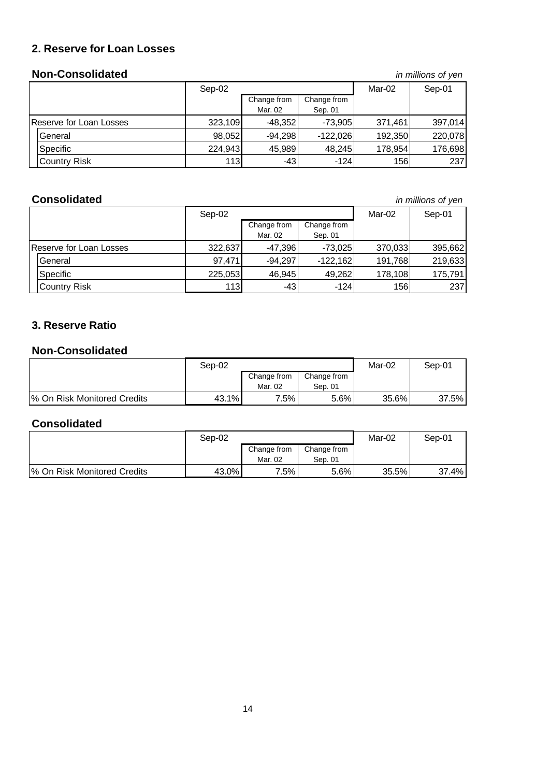# **2. Reserve for Loan Losses**

### **Non-Consolidated** *in millions of yen*

|                         | Sep-02  |             |             | Mar-02  | Sep-01  |
|-------------------------|---------|-------------|-------------|---------|---------|
|                         |         | Change from | Change from |         |         |
|                         |         | Mar. 02     | Sep. 01     |         |         |
| Reserve for Loan Losses | 323,109 | $-48,352$   | $-73,905$   | 371,461 | 397,014 |
| General                 | 98,052  | $-94,298$   | $-122.026$  | 192,350 | 220,078 |
| Specific                | 224,943 | 45,989      | 48,245      | 178,954 | 176,698 |
| <b>Country Risk</b>     | 113     | $-43$       | $-124$      | 156     | 237     |

### **Consolidated** *in millions of yen*

|                         |                     | Sep-02  |             |             | Mar-02  | Sep-01  |
|-------------------------|---------------------|---------|-------------|-------------|---------|---------|
|                         |                     |         | Change from | Change from |         |         |
|                         |                     |         | Mar. 02     | Sep. 01     |         |         |
| Reserve for Loan Losses |                     | 322,637 | $-47,396$   | $-73,025$   | 370,033 | 395,662 |
|                         | General             | 97,471  | $-94,297$   | $-122,162$  | 191,768 | 219,633 |
|                         | Specific            | 225,053 | 46,945      | 49,262      | 178,108 | 175,791 |
|                         | <b>Country Risk</b> | 113     | $-43$       | $-124$      | 156     | 237     |

## **3. Reserve Ratio**

### **Non-Consolidated**

|                              | Sep-02          |                        |                        | Mar-02 | Sep-01 |
|------------------------------|-----------------|------------------------|------------------------|--------|--------|
|                              |                 | Change from<br>Mar. 02 | Change from<br>Sep. 01 |        |        |
| I% On Risk Monitored Credits | $.1\%$<br>43. T | $7.5\%$                | 5.6%                   | 35.6%  | 37.5%  |

### **Consolidated**

|                             | Sep-02 |                        |                        | Mar-02 | Sep-01 |
|-----------------------------|--------|------------------------|------------------------|--------|--------|
|                             |        | Change from<br>Mar. 02 | Change from<br>Sep. 01 |        |        |
| % On Risk Monitored Credits | 43.0%  | $7.5\%$                | 5.6%                   | 35.5%  | 37.4%  |